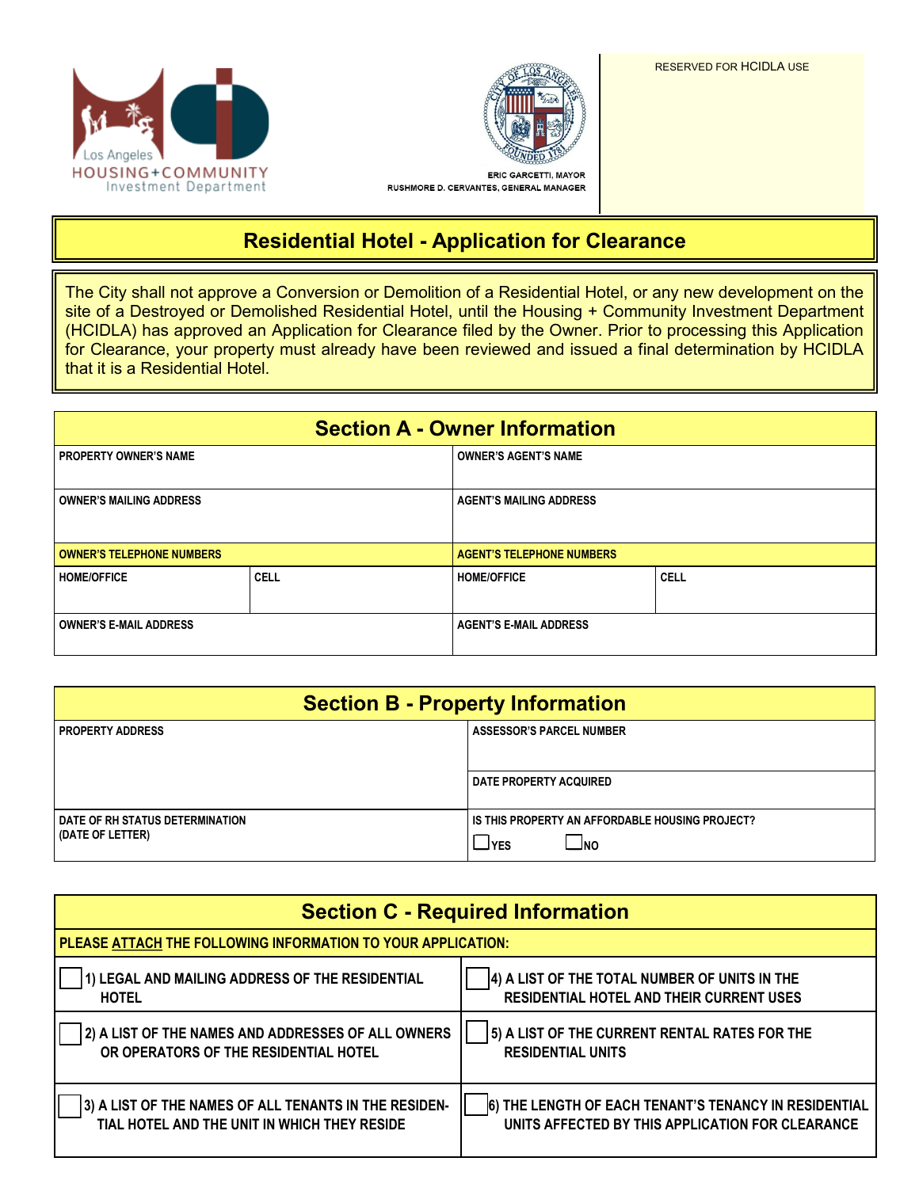



RUSHMORE D. CERVANTES, GENERAL MANAGER

## **Residential Hotel - Application for Clearance**

 The City shall not approve a Conversion or Demolition of a Residential Hotel, or any new development on the site of a Destroyed or Demolished Residential Hotel, until the Housing + Community Investment Department (HCIDLA) has approved an Application for Clearance filed by the Owner. Prior to processing this Application for Clearance, your property must already have been reviewed and issued a final determination by HCIDLA that it is a Residential Hotel.

| <b>Section A - Owner Information</b> |             |                                  |             |  |  |
|--------------------------------------|-------------|----------------------------------|-------------|--|--|
| <b>PROPERTY OWNER'S NAME</b>         |             | <b>OWNER'S AGENT'S NAME</b>      |             |  |  |
| <b>OWNER'S MAILING ADDRESS</b>       |             | <b>AGENT'S MAILING ADDRESS</b>   |             |  |  |
| <b>OWNER'S TELEPHONE NUMBERS</b>     |             | <b>AGENT'S TELEPHONE NUMBERS</b> |             |  |  |
| <b>HOME/OFFICE</b>                   | <b>CELL</b> | <b>HOME/OFFICE</b>               | <b>CELL</b> |  |  |
| <b>OWNER'S E-MAIL ADDRESS</b>        |             | <b>AGENT'S E-MAIL ADDRESS</b>    |             |  |  |

| <b>Section B - Property Information</b>             |                                                                        |  |  |
|-----------------------------------------------------|------------------------------------------------------------------------|--|--|
| <b>PROPERTY ADDRESS</b>                             | <b>ASSESSOR'S PARCEL NUMBER</b>                                        |  |  |
|                                                     | <b>DATE PROPERTY ACQUIRED</b>                                          |  |  |
| DATE OF RH STATUS DETERMINATION<br>(DATE OF LETTER) | IS THIS PROPERTY AN AFFORDABLE HOUSING PROJECT?<br>$\sqcup$ YES<br>סאך |  |  |

| <b>Section C - Required Information</b>                      |                                                       |  |  |  |
|--------------------------------------------------------------|-------------------------------------------------------|--|--|--|
| PLEASE ATTACH THE FOLLOWING INFORMATION TO YOUR APPLICATION: |                                                       |  |  |  |
| ) LEGAL AND MAILING ADDRESS OF THE RESIDENTIAL               | 4) A LIST OF THE TOTAL NUMBER OF UNITS IN THE         |  |  |  |
| <b>HOTEL</b>                                                 | <b>RESIDENTIAL HOTEL AND THEIR CURRENT USES</b>       |  |  |  |
| 2) A LIST OF THE NAMES AND ADDRESSES OF ALL OWNERS           | 5) A LIST OF THE CURRENT RENTAL RATES FOR THE         |  |  |  |
| OR OPERATORS OF THE RESIDENTIAL HOTEL                        | <b>RESIDENTIAL UNITS</b>                              |  |  |  |
| 3) A LIST OF THE NAMES OF ALL TENANTS IN THE RESIDEN-        | 6) THE LENGTH OF EACH TENANT'S TENANCY IN RESIDENTIAL |  |  |  |
| TIAL HOTEL AND THE UNIT IN WHICH THEY RESIDE                 | UNITS AFFECTED BY THIS APPLICATION FOR CLEARANCE      |  |  |  |

RESERVED FOR HCIDLA USE